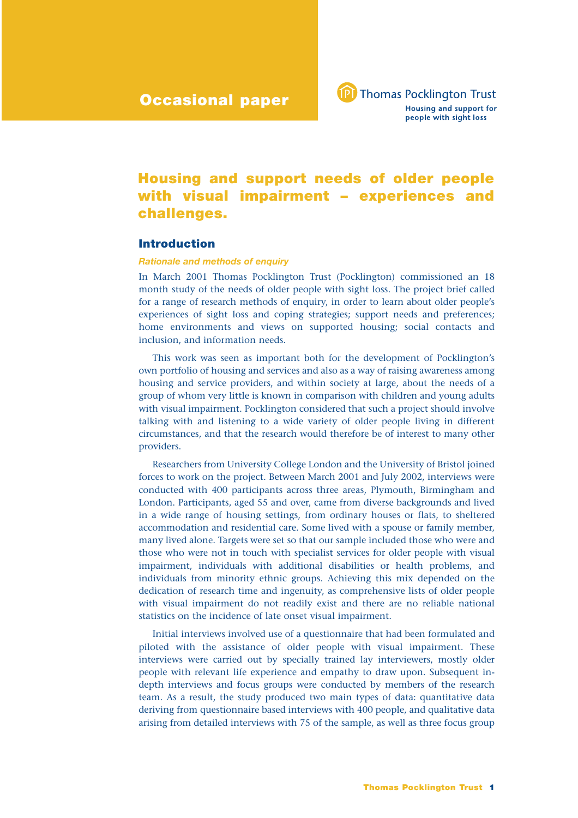

# **Housing and support needs of older people with visual impairment – experiences and challenges.**

# **Introduction**

# *Rationale and methods of enquiry*

In March 2001 Thomas Pocklington Trust (Pocklington) commissioned an 18 month study of the needs of older people with sight loss. The project brief called for a range of research methods of enquiry, in order to learn about older people's experiences of sight loss and coping strategies; support needs and preferences; home environments and views on supported housing; social contacts and inclusion, and information needs.

This work was seen as important both for the development of Pocklington's own portfolio of housing and services and also as a way of raising awareness among housing and service providers, and within society at large, about the needs of a group of whom very little is known in comparison with children and young adults with visual impairment. Pocklington considered that such a project should involve talking with and listening to a wide variety of older people living in different circumstances, and that the research would therefore be of interest to many other providers.

Researchers from University College London and the University of Bristol joined forces to work on the project. Between March 2001 and July 2002, interviews were conducted with 400 participants across three areas, Plymouth, Birmingham and London. Participants, aged 55 and over, came from diverse backgrounds and lived in a wide range of housing settings, from ordinary houses or flats, to sheltered accommodation and residential care. Some lived with a spouse or family member, many lived alone. Targets were set so that our sample included those who were and those who were not in touch with specialist services for older people with visual impairment, individuals with additional disabilities or health problems, and individuals from minority ethnic groups. Achieving this mix depended on the dedication of research time and ingenuity, as comprehensive lists of older people with visual impairment do not readily exist and there are no reliable national statistics on the incidence of late onset visual impairment.

Initial interviews involved use of a questionnaire that had been formulated and piloted with the assistance of older people with visual impairment. These interviews were carried out by specially trained lay interviewers, mostly older people with relevant life experience and empathy to draw upon. Subsequent indepth interviews and focus groups were conducted by members of the research team. As a result, the study produced two main types of data: quantitative data deriving from questionnaire based interviews with 400 people, and qualitative data arising from detailed interviews with 75 of the sample, as well as three focus group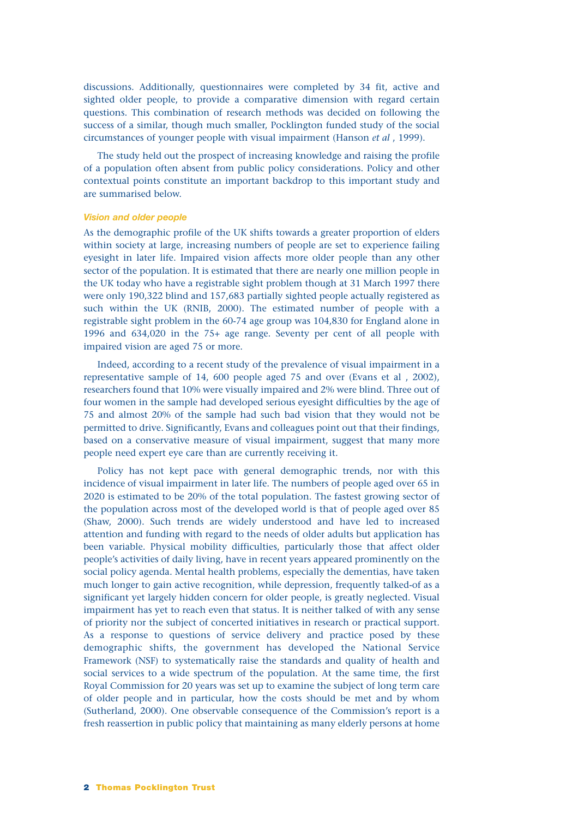discussions. Additionally, questionnaires were completed by 34 fit, active and sighted older people, to provide a comparative dimension with regard certain questions. This combination of research methods was decided on following the success of a similar, though much smaller, Pocklington funded study of the social circumstances of younger people with visual impairment (Hanson *et al* , 1999).

The study held out the prospect of increasing knowledge and raising the profile of a population often absent from public policy considerations. Policy and other contextual points constitute an important backdrop to this important study and are summarised below.

# *Vision and older people*

As the demographic profile of the UK shifts towards a greater proportion of elders within society at large, increasing numbers of people are set to experience failing eyesight in later life. Impaired vision affects more older people than any other sector of the population. It is estimated that there are nearly one million people in the UK today who have a registrable sight problem though at 31 March 1997 there were only 190,322 blind and 157,683 partially sighted people actually registered as such within the UK (RNIB, 2000). The estimated number of people with a registrable sight problem in the 60-74 age group was 104,830 for England alone in 1996 and 634,020 in the 75+ age range. Seventy per cent of all people with impaired vision are aged 75 or more.

Indeed, according to a recent study of the prevalence of visual impairment in a representative sample of 14, 600 people aged 75 and over (Evans et al , 2002), researchers found that 10% were visually impaired and 2% were blind. Three out of four women in the sample had developed serious eyesight difficulties by the age of 75 and almost 20% of the sample had such bad vision that they would not be permitted to drive. Significantly, Evans and colleagues point out that their findings, based on a conservative measure of visual impairment, suggest that many more people need expert eye care than are currently receiving it.

Policy has not kept pace with general demographic trends, nor with this incidence of visual impairment in later life. The numbers of people aged over 65 in 2020 is estimated to be 20% of the total population. The fastest growing sector of the population across most of the developed world is that of people aged over 85 (Shaw, 2000). Such trends are widely understood and have led to increased attention and funding with regard to the needs of older adults but application has been variable. Physical mobility difficulties, particularly those that affect older people's activities of daily living, have in recent years appeared prominently on the social policy agenda. Mental health problems, especially the dementias, have taken much longer to gain active recognition, while depression, frequently talked-of as a significant yet largely hidden concern for older people, is greatly neglected. Visual impairment has yet to reach even that status. It is neither talked of with any sense of priority nor the subject of concerted initiatives in research or practical support. As a response to questions of service delivery and practice posed by these demographic shifts, the government has developed the National Service Framework (NSF) to systematically raise the standards and quality of health and social services to a wide spectrum of the population. At the same time, the first Royal Commission for 20 years was set up to examine the subject of long term care of older people and in particular, how the costs should be met and by whom (Sutherland, 2000). One observable consequence of the Commission's report is a fresh reassertion in public policy that maintaining as many elderly persons at home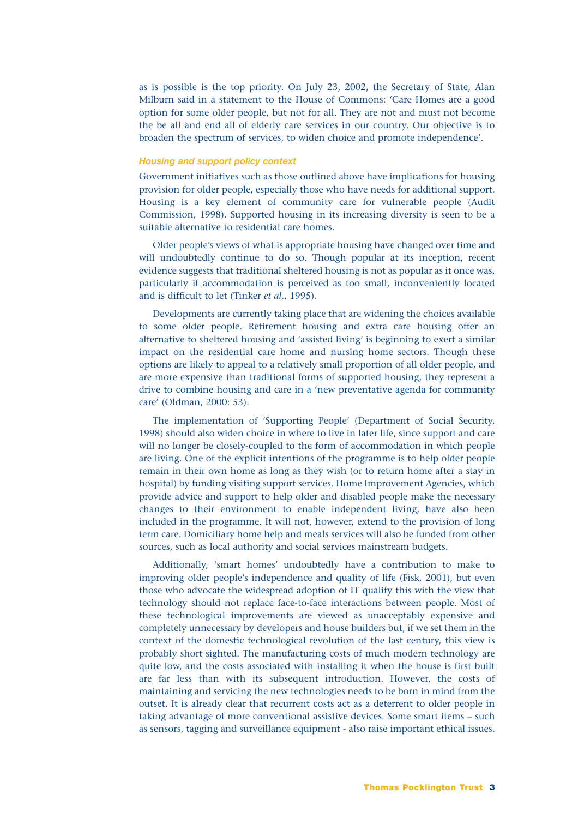as is possible is the top priority. On July 23, 2002, the Secretary of State, Alan Milburn said in a statement to the House of Commons: 'Care Homes are a good option for some older people, but not for all. They are not and must not become the be all and end all of elderly care services in our country. Our objective is to broaden the spectrum of services, to widen choice and promote independence'.

#### *Housing and support policy context*

Government initiatives such as those outlined above have implications for housing provision for older people, especially those who have needs for additional support. Housing is a key element of community care for vulnerable people (Audit Commission, 1998). Supported housing in its increasing diversity is seen to be a suitable alternative to residential care homes.

Older people's views of what is appropriate housing have changed over time and will undoubtedly continue to do so. Though popular at its inception, recent evidence suggests that traditional sheltered housing is not as popular as it once was, particularly if accommodation is perceived as too small, inconveniently located and is difficult to let (Tinker *et al.*, 1995).

Developments are currently taking place that are widening the choices available to some older people. Retirement housing and extra care housing offer an alternative to sheltered housing and 'assisted living' is beginning to exert a similar impact on the residential care home and nursing home sectors. Though these options are likely to appeal to a relatively small proportion of all older people, and are more expensive than traditional forms of supported housing, they represent a drive to combine housing and care in a 'new preventative agenda for community care' (Oldman, 2000: 53).

The implementation of 'Supporting People' (Department of Social Security, 1998) should also widen choice in where to live in later life, since support and care will no longer be closely-coupled to the form of accommodation in which people are living. One of the explicit intentions of the programme is to help older people remain in their own home as long as they wish (or to return home after a stay in hospital) by funding visiting support services. Home Improvement Agencies, which provide advice and support to help older and disabled people make the necessary changes to their environment to enable independent living, have also been included in the programme. It will not, however, extend to the provision of long term care. Domiciliary home help and meals services will also be funded from other sources, such as local authority and social services mainstream budgets.

Additionally, 'smart homes' undoubtedly have a contribution to make to improving older people's independence and quality of life (Fisk, 2001), but even those who advocate the widespread adoption of IT qualify this with the view that technology should not replace face-to-face interactions between people. Most of these technological improvements are viewed as unacceptably expensive and completely unnecessary by developers and house builders but, if we set them in the context of the domestic technological revolution of the last century, this view is probably short sighted. The manufacturing costs of much modern technology are quite low, and the costs associated with installing it when the house is first built are far less than with its subsequent introduction. However, the costs of maintaining and servicing the new technologies needs to be born in mind from the outset. It is already clear that recurrent costs act as a deterrent to older people in taking advantage of more conventional assistive devices. Some smart items – such as sensors, tagging and surveillance equipment - also raise important ethical issues.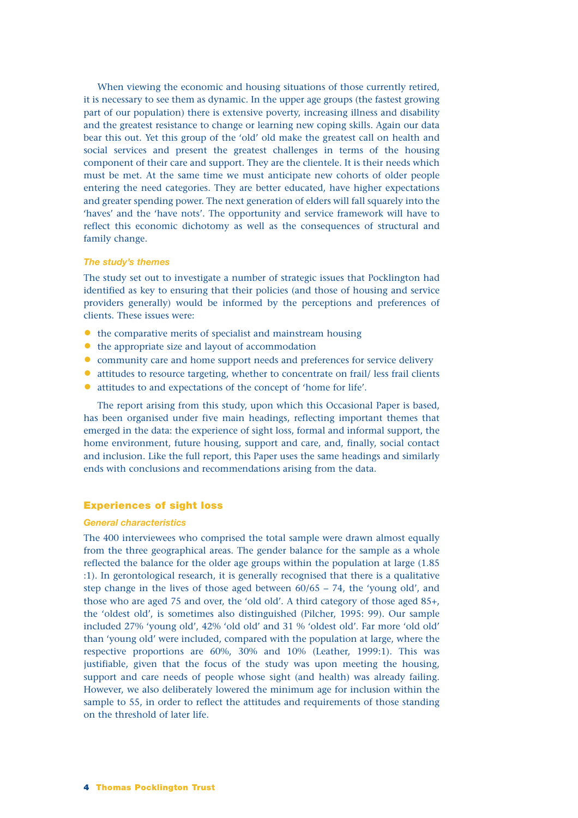When viewing the economic and housing situations of those currently retired, it is necessary to see them as dynamic. In the upper age groups (the fastest growing part of our population) there is extensive poverty, increasing illness and disability and the greatest resistance to change or learning new coping skills. Again our data bear this out. Yet this group of the 'old' old make the greatest call on health and social services and present the greatest challenges in terms of the housing component of their care and support. They are the clientele. It is their needs which must be met. At the same time we must anticipate new cohorts of older people entering the need categories. They are better educated, have higher expectations and greater spending power. The next generation of elders will fall squarely into the 'haves' and the 'have nots'. The opportunity and service framework will have to reflect this economic dichotomy as well as the consequences of structural and family change.

## *The study's themes*

The study set out to investigate a number of strategic issues that Pocklington had identified as key to ensuring that their policies (and those of housing and service providers generally) would be informed by the perceptions and preferences of clients. These issues were:

- the comparative merits of specialist and mainstream housing
- the appropriate size and layout of accommodation
- community care and home support needs and preferences for service delivery
- attitudes to resource targeting, whether to concentrate on frail/ less frail clients
- attitudes to and expectations of the concept of 'home for life'.

The report arising from this study, upon which this Occasional Paper is based, has been organised under five main headings, reflecting important themes that emerged in the data: the experience of sight loss, formal and informal support, the home environment, future housing, support and care, and, finally, social contact and inclusion. Like the full report, this Paper uses the same headings and similarly ends with conclusions and recommendations arising from the data.

# **Experiences of sight loss**

### *General characteristics*

The 400 interviewees who comprised the total sample were drawn almost equally from the three geographical areas. The gender balance for the sample as a whole reflected the balance for the older age groups within the population at large (1.85 :1). In gerontological research, it is generally recognised that there is a qualitative step change in the lives of those aged between 60/65 – 74, the 'young old', and those who are aged 75 and over, the 'old old'. A third category of those aged 85+, the 'oldest old', is sometimes also distinguished (Pilcher, 1995: 99). Our sample included 27% 'young old', 42% 'old old' and 31 % 'oldest old'. Far more 'old old' than 'young old' were included, compared with the population at large, where the respective proportions are 60%, 30% and 10% (Leather, 1999:1). This was justifiable, given that the focus of the study was upon meeting the housing, support and care needs of people whose sight (and health) was already failing. However, we also deliberately lowered the minimum age for inclusion within the sample to 55, in order to reflect the attitudes and requirements of those standing on the threshold of later life.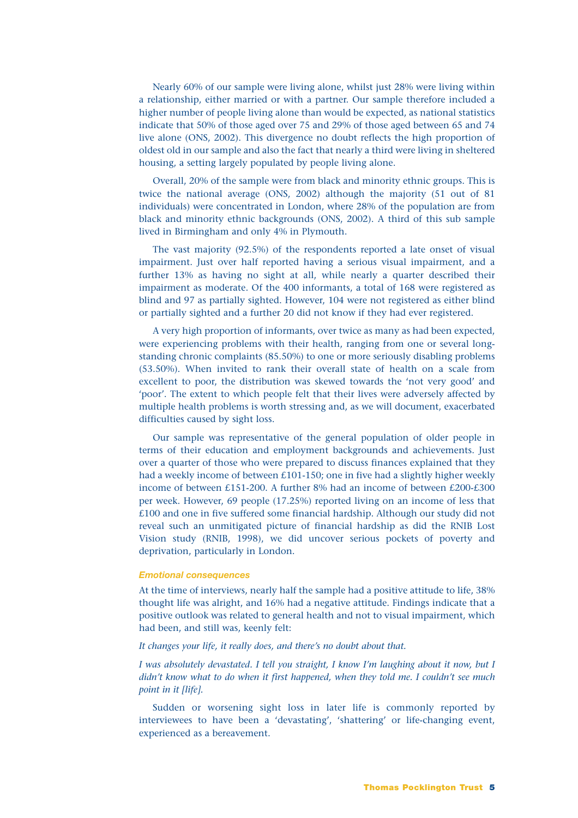Nearly 60% of our sample were living alone, whilst just 28% were living within a relationship, either married or with a partner. Our sample therefore included a higher number of people living alone than would be expected, as national statistics indicate that 50% of those aged over 75 and 29% of those aged between 65 and 74 live alone (ONS, 2002). This divergence no doubt reflects the high proportion of oldest old in our sample and also the fact that nearly a third were living in sheltered housing, a setting largely populated by people living alone.

Overall, 20% of the sample were from black and minority ethnic groups. This is twice the national average (ONS, 2002) although the majority (51 out of 81 individuals) were concentrated in London, where 28% of the population are from black and minority ethnic backgrounds (ONS, 2002). A third of this sub sample lived in Birmingham and only 4% in Plymouth.

The vast majority (92.5%) of the respondents reported a late onset of visual impairment. Just over half reported having a serious visual impairment, and a further 13% as having no sight at all, while nearly a quarter described their impairment as moderate. Of the 400 informants, a total of 168 were registered as blind and 97 as partially sighted. However, 104 were not registered as either blind or partially sighted and a further 20 did not know if they had ever registered.

A very high proportion of informants, over twice as many as had been expected, were experiencing problems with their health, ranging from one or several longstanding chronic complaints (85.50%) to one or more seriously disabling problems (53.50%). When invited to rank their overall state of health on a scale from excellent to poor, the distribution was skewed towards the 'not very good' and 'poor'. The extent to which people felt that their lives were adversely affected by multiple health problems is worth stressing and, as we will document, exacerbated difficulties caused by sight loss.

Our sample was representative of the general population of older people in terms of their education and employment backgrounds and achievements. Just over a quarter of those who were prepared to discuss finances explained that they had a weekly income of between £101-150; one in five had a slightly higher weekly income of between £151-200. A further 8% had an income of between £200-£300 per week. However, 69 people (17.25%) reported living on an income of less that £100 and one in five suffered some financial hardship. Although our study did not reveal such an unmitigated picture of financial hardship as did the RNIB Lost Vision study (RNIB, 1998), we did uncover serious pockets of poverty and deprivation, particularly in London.

#### *Emotional consequences*

At the time of interviews, nearly half the sample had a positive attitude to life, 38% thought life was alright, and 16% had a negative attitude. Findings indicate that a positive outlook was related to general health and not to visual impairment, which had been, and still was, keenly felt:

# *It changes your life, it really does, and there's no doubt about that.*

*I was absolutely devastated. I tell you straight, I know I'm laughing about it now, but I didn't know what to do when it first happened, when they told me. I couldn't see much point in it [life].*

Sudden or worsening sight loss in later life is commonly reported by interviewees to have been a 'devastating', 'shattering' or life-changing event, experienced as a bereavement.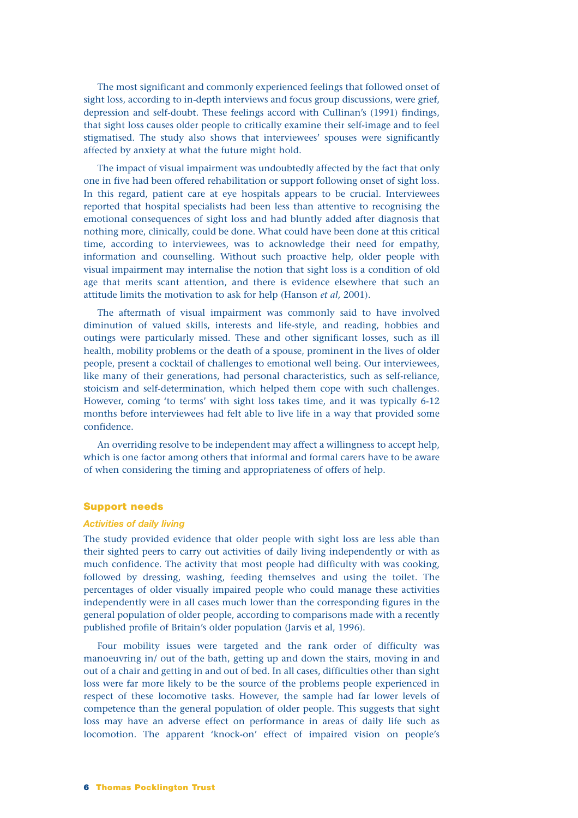The most significant and commonly experienced feelings that followed onset of sight loss, according to in-depth interviews and focus group discussions, were grief, depression and self-doubt. These feelings accord with Cullinan's (1991) findings, that sight loss causes older people to critically examine their self-image and to feel stigmatised. The study also shows that interviewees' spouses were significantly affected by anxiety at what the future might hold.

The impact of visual impairment was undoubtedly affected by the fact that only one in five had been offered rehabilitation or support following onset of sight loss. In this regard, patient care at eye hospitals appears to be crucial. Interviewees reported that hospital specialists had been less than attentive to recognising the emotional consequences of sight loss and had bluntly added after diagnosis that nothing more, clinically, could be done. What could have been done at this critical time, according to interviewees, was to acknowledge their need for empathy, information and counselling. Without such proactive help, older people with visual impairment may internalise the notion that sight loss is a condition of old age that merits scant attention, and there is evidence elsewhere that such an attitude limits the motivation to ask for help (Hanson *et al,* 2001).

The aftermath of visual impairment was commonly said to have involved diminution of valued skills, interests and life-style, and reading, hobbies and outings were particularly missed. These and other significant losses, such as ill health, mobility problems or the death of a spouse, prominent in the lives of older people, present a cocktail of challenges to emotional well being. Our interviewees, like many of their generations, had personal characteristics, such as self-reliance, stoicism and self-determination, which helped them cope with such challenges. However, coming 'to terms' with sight loss takes time, and it was typically 6-12 months before interviewees had felt able to live life in a way that provided some confidence.

An overriding resolve to be independent may affect a willingness to accept help, which is one factor among others that informal and formal carers have to be aware of when considering the timing and appropriateness of offers of help.

## **Support needs**

#### *Activities of daily living*

The study provided evidence that older people with sight loss are less able than their sighted peers to carry out activities of daily living independently or with as much confidence. The activity that most people had difficulty with was cooking, followed by dressing, washing, feeding themselves and using the toilet. The percentages of older visually impaired people who could manage these activities independently were in all cases much lower than the corresponding figures in the general population of older people, according to comparisons made with a recently published profile of Britain's older population (Jarvis et al, 1996).

Four mobility issues were targeted and the rank order of difficulty was manoeuvring in/ out of the bath, getting up and down the stairs, moving in and out of a chair and getting in and out of bed. In all cases, difficulties other than sight loss were far more likely to be the source of the problems people experienced in respect of these locomotive tasks. However, the sample had far lower levels of competence than the general population of older people. This suggests that sight loss may have an adverse effect on performance in areas of daily life such as locomotion. The apparent 'knock-on' effect of impaired vision on people's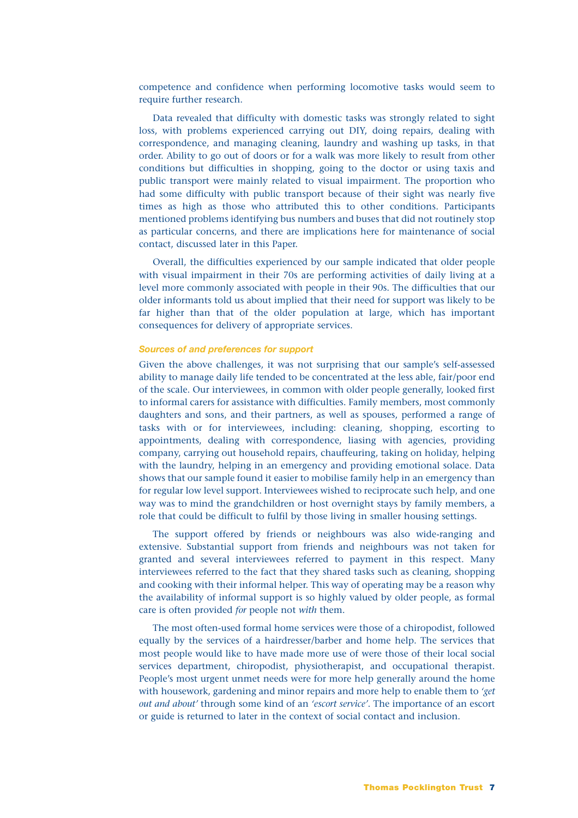competence and confidence when performing locomotive tasks would seem to require further research.

Data revealed that difficulty with domestic tasks was strongly related to sight loss, with problems experienced carrying out DIY, doing repairs, dealing with correspondence, and managing cleaning, laundry and washing up tasks, in that order. Ability to go out of doors or for a walk was more likely to result from other conditions but difficulties in shopping, going to the doctor or using taxis and public transport were mainly related to visual impairment. The proportion who had some difficulty with public transport because of their sight was nearly five times as high as those who attributed this to other conditions. Participants mentioned problems identifying bus numbers and buses that did not routinely stop as particular concerns, and there are implications here for maintenance of social contact, discussed later in this Paper.

Overall, the difficulties experienced by our sample indicated that older people with visual impairment in their 70s are performing activities of daily living at a level more commonly associated with people in their 90s. The difficulties that our older informants told us about implied that their need for support was likely to be far higher than that of the older population at large, which has important consequences for delivery of appropriate services.

# *Sources of and preferences for support*

Given the above challenges, it was not surprising that our sample's self-assessed ability to manage daily life tended to be concentrated at the less able, fair/poor end of the scale. Our interviewees, in common with older people generally, looked first to informal carers for assistance with difficulties. Family members, most commonly daughters and sons, and their partners, as well as spouses, performed a range of tasks with or for interviewees, including: cleaning, shopping, escorting to appointments, dealing with correspondence, liasing with agencies, providing company, carrying out household repairs, chauffeuring, taking on holiday, helping with the laundry, helping in an emergency and providing emotional solace. Data shows that our sample found it easier to mobilise family help in an emergency than for regular low level support. Interviewees wished to reciprocate such help, and one way was to mind the grandchildren or host overnight stays by family members, a role that could be difficult to fulfil by those living in smaller housing settings.

The support offered by friends or neighbours was also wide-ranging and extensive. Substantial support from friends and neighbours was not taken for granted and several interviewees referred to payment in this respect. Many interviewees referred to the fact that they shared tasks such as cleaning, shopping and cooking with their informal helper. This way of operating may be a reason why the availability of informal support is so highly valued by older people, as formal care is often provided *for* people not *with* them.

The most often-used formal home services were those of a chiropodist, followed equally by the services of a hairdresser/barber and home help. The services that most people would like to have made more use of were those of their local social services department, chiropodist, physiotherapist, and occupational therapist. People's most urgent unmet needs were for more help generally around the home with housework, gardening and minor repairs and more help to enable them to *'get out and about'* through some kind of an *'escort service'*. The importance of an escort or guide is returned to later in the context of social contact and inclusion.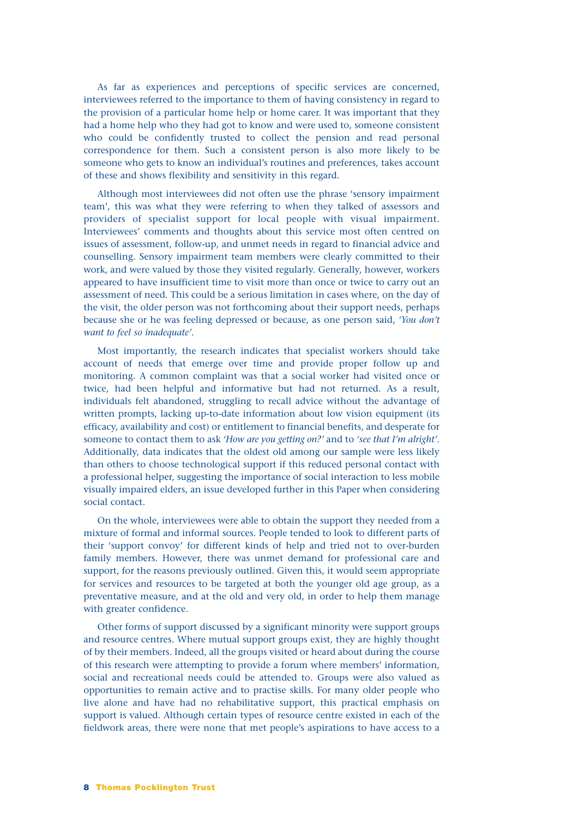As far as experiences and perceptions of specific services are concerned, interviewees referred to the importance to them of having consistency in regard to the provision of a particular home help or home carer. It was important that they had a home help who they had got to know and were used to, someone consistent who could be confidently trusted to collect the pension and read personal correspondence for them. Such a consistent person is also more likely to be someone who gets to know an individual's routines and preferences, takes account of these and shows flexibility and sensitivity in this regard.

Although most interviewees did not often use the phrase 'sensory impairment team', this was what they were referring to when they talked of assessors and providers of specialist support for local people with visual impairment. Interviewees' comments and thoughts about this service most often centred on issues of assessment, follow-up, and unmet needs in regard to financial advice and counselling. Sensory impairment team members were clearly committed to their work, and were valued by those they visited regularly. Generally, however, workers appeared to have insufficient time to visit more than once or twice to carry out an assessment of need. This could be a serious limitation in cases where, on the day of the visit, the older person was not forthcoming about their support needs, perhaps because she or he was feeling depressed or because, as one person said, *'You don't want to feel so inadequate'*.

Most importantly, the research indicates that specialist workers should take account of needs that emerge over time and provide proper follow up and monitoring. A common complaint was that a social worker had visited once or twice, had been helpful and informative but had not returned. As a result, individuals felt abandoned, struggling to recall advice without the advantage of written prompts, lacking up-to-date information about low vision equipment (its efficacy, availability and cost) or entitlement to financial benefits, and desperate for someone to contact them to ask *'How are you getting on?'* and to *'see that I'm alright'*. Additionally, data indicates that the oldest old among our sample were less likely than others to choose technological support if this reduced personal contact with a professional helper, suggesting the importance of social interaction to less mobile visually impaired elders, an issue developed further in this Paper when considering social contact.

On the whole, interviewees were able to obtain the support they needed from a mixture of formal and informal sources. People tended to look to different parts of their 'support convoy' for different kinds of help and tried not to over-burden family members. However, there was unmet demand for professional care and support, for the reasons previously outlined. Given this, it would seem appropriate for services and resources to be targeted at both the younger old age group, as a preventative measure, and at the old and very old, in order to help them manage with greater confidence.

Other forms of support discussed by a significant minority were support groups and resource centres. Where mutual support groups exist, they are highly thought of by their members. Indeed, all the groups visited or heard about during the course of this research were attempting to provide a forum where members' information, social and recreational needs could be attended to. Groups were also valued as opportunities to remain active and to practise skills. For many older people who live alone and have had no rehabilitative support, this practical emphasis on support is valued. Although certain types of resource centre existed in each of the fieldwork areas, there were none that met people's aspirations to have access to a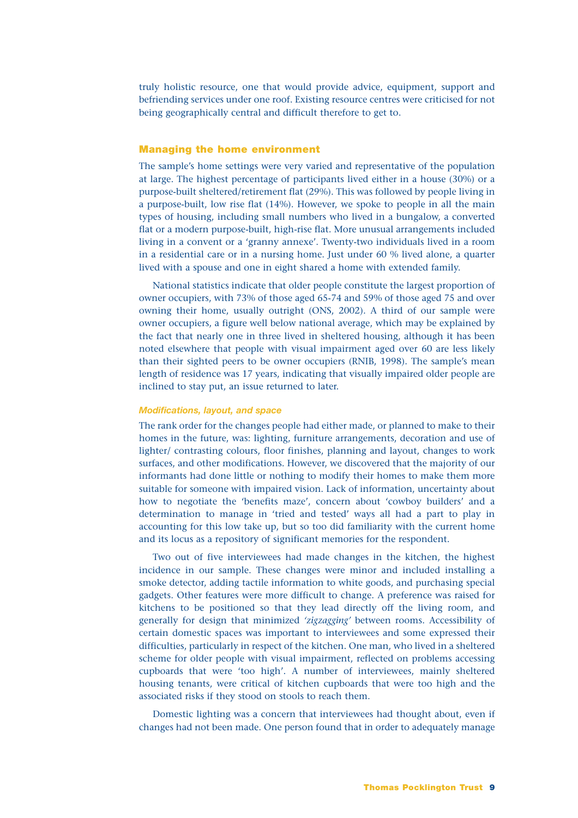truly holistic resource, one that would provide advice, equipment, support and befriending services under one roof. Existing resource centres were criticised for not being geographically central and difficult therefore to get to.

# **Managing the home environment**

The sample's home settings were very varied and representative of the population at large. The highest percentage of participants lived either in a house (30%) or a purpose-built sheltered/retirement flat (29%). This was followed by people living in a purpose-built, low rise flat (14%). However, we spoke to people in all the main types of housing, including small numbers who lived in a bungalow, a converted flat or a modern purpose-built, high-rise flat. More unusual arrangements included living in a convent or a 'granny annexe'. Twenty-two individuals lived in a room in a residential care or in a nursing home. Just under 60 % lived alone, a quarter lived with a spouse and one in eight shared a home with extended family.

National statistics indicate that older people constitute the largest proportion of owner occupiers, with 73% of those aged 65-74 and 59% of those aged 75 and over owning their home, usually outright (ONS, 2002). A third of our sample were owner occupiers, a figure well below national average, which may be explained by the fact that nearly one in three lived in sheltered housing, although it has been noted elsewhere that people with visual impairment aged over 60 are less likely than their sighted peers to be owner occupiers (RNIB, 1998). The sample's mean length of residence was 17 years, indicating that visually impaired older people are inclined to stay put, an issue returned to later.

# *Modifications, layout, and space*

The rank order for the changes people had either made, or planned to make to their homes in the future, was: lighting, furniture arrangements, decoration and use of lighter/ contrasting colours, floor finishes, planning and layout, changes to work surfaces, and other modifications. However, we discovered that the majority of our informants had done little or nothing to modify their homes to make them more suitable for someone with impaired vision. Lack of information, uncertainty about how to negotiate the 'benefits maze', concern about 'cowboy builders' and a determination to manage in 'tried and tested' ways all had a part to play in accounting for this low take up, but so too did familiarity with the current home and its locus as a repository of significant memories for the respondent.

Two out of five interviewees had made changes in the kitchen, the highest incidence in our sample. These changes were minor and included installing a smoke detector, adding tactile information to white goods, and purchasing special gadgets. Other features were more difficult to change. A preference was raised for kitchens to be positioned so that they lead directly off the living room, and generally for design that minimized *'zigzagging'* between rooms. Accessibility of certain domestic spaces was important to interviewees and some expressed their difficulties, particularly in respect of the kitchen. One man, who lived in a sheltered scheme for older people with visual impairment, reflected on problems accessing cupboards that were 'too high'. A number of interviewees, mainly sheltered housing tenants, were critical of kitchen cupboards that were too high and the associated risks if they stood on stools to reach them.

Domestic lighting was a concern that interviewees had thought about, even if changes had not been made. One person found that in order to adequately manage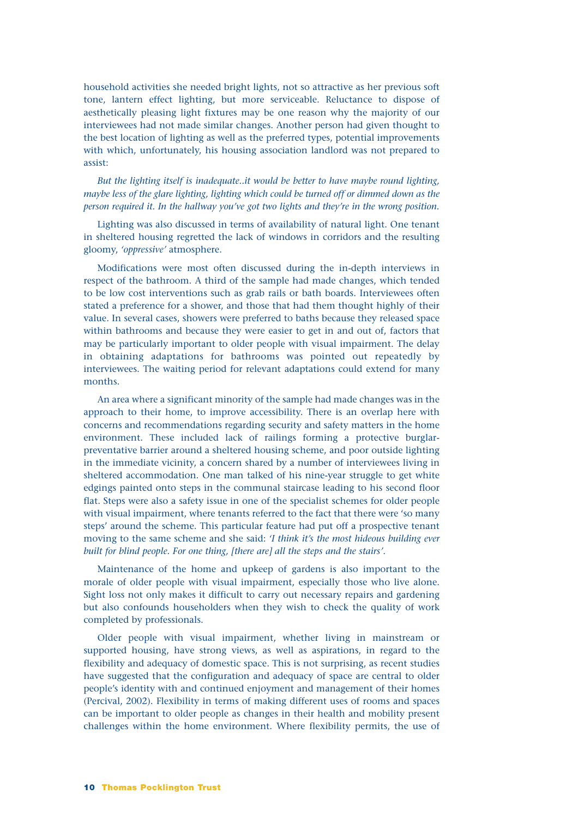household activities she needed bright lights, not so attractive as her previous soft tone, lantern effect lighting, but more serviceable. Reluctance to dispose of aesthetically pleasing light fixtures may be one reason why the majority of our interviewees had not made similar changes. Another person had given thought to the best location of lighting as well as the preferred types, potential improvements with which, unfortunately, his housing association landlord was not prepared to assist:

*But the lighting itself is inadequate..it would be better to have maybe round lighting, maybe less of the glare lighting, lighting which could be turned off or dimmed down as the person required it. In the hallway you've got two lights and they're in the wrong position.*

Lighting was also discussed in terms of availability of natural light. One tenant in sheltered housing regretted the lack of windows in corridors and the resulting gloomy, *'oppressive'* atmosphere.

Modifications were most often discussed during the in-depth interviews in respect of the bathroom. A third of the sample had made changes, which tended to be low cost interventions such as grab rails or bath boards. Interviewees often stated a preference for a shower, and those that had them thought highly of their value. In several cases, showers were preferred to baths because they released space within bathrooms and because they were easier to get in and out of, factors that may be particularly important to older people with visual impairment. The delay in obtaining adaptations for bathrooms was pointed out repeatedly by interviewees. The waiting period for relevant adaptations could extend for many months.

An area where a significant minority of the sample had made changes was in the approach to their home, to improve accessibility. There is an overlap here with concerns and recommendations regarding security and safety matters in the home environment. These included lack of railings forming a protective burglarpreventative barrier around a sheltered housing scheme, and poor outside lighting in the immediate vicinity, a concern shared by a number of interviewees living in sheltered accommodation. One man talked of his nine-year struggle to get white edgings painted onto steps in the communal staircase leading to his second floor flat. Steps were also a safety issue in one of the specialist schemes for older people with visual impairment, where tenants referred to the fact that there were 'so many steps' around the scheme. This particular feature had put off a prospective tenant moving to the same scheme and she said: *'I think it's the most hideous building ever built for blind people. For one thing, [there are] all the steps and the stairs'*.

Maintenance of the home and upkeep of gardens is also important to the morale of older people with visual impairment, especially those who live alone. Sight loss not only makes it difficult to carry out necessary repairs and gardening but also confounds householders when they wish to check the quality of work completed by professionals.

Older people with visual impairment, whether living in mainstream or supported housing, have strong views, as well as aspirations, in regard to the flexibility and adequacy of domestic space. This is not surprising, as recent studies have suggested that the configuration and adequacy of space are central to older people's identity with and continued enjoyment and management of their homes (Percival, 2002). Flexibility in terms of making different uses of rooms and spaces can be important to older people as changes in their health and mobility present challenges within the home environment. Where flexibility permits, the use of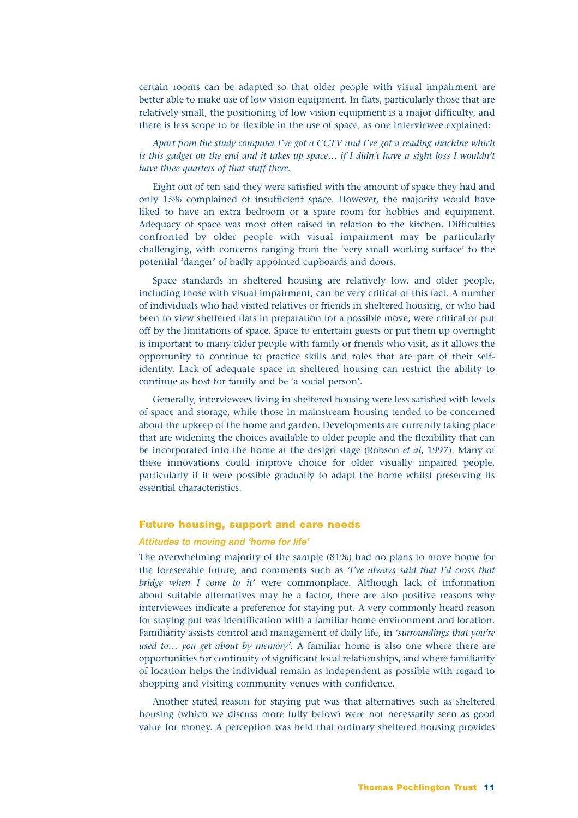certain rooms can be adapted so that older people with visual impairment are better able to make use of low vision equipment. In flats, particularly those that are relatively small, the positioning of low vision equipment is a major difficulty, and there is less scope to be flexible in the use of space, as one interviewee explained:

*Apart from the study computer I've got a CCTV and I've got a reading machine which is this gadget on the end and it takes up space… if I didn't have a sight loss I wouldn't have three quarters of that stuff there.*

Eight out of ten said they were satisfied with the amount of space they had and only 15% complained of insufficient space. However, the majority would have liked to have an extra bedroom or a spare room for hobbies and equipment. Adequacy of space was most often raised in relation to the kitchen. Difficulties confronted by older people with visual impairment may be particularly challenging, with concerns ranging from the 'very small working surface' to the potential 'danger' of badly appointed cupboards and doors.

Space standards in sheltered housing are relatively low, and older people, including those with visual impairment, can be very critical of this fact. A number of individuals who had visited relatives or friends in sheltered housing, or who had been to view sheltered flats in preparation for a possible move, were critical or put off by the limitations of space. Space to entertain guests or put them up overnight is important to many older people with family or friends who visit, as it allows the opportunity to continue to practice skills and roles that are part of their selfidentity. Lack of adequate space in sheltered housing can restrict the ability to continue as host for family and be 'a social person'.

Generally, interviewees living in sheltered housing were less satisfied with levels of space and storage, while those in mainstream housing tended to be concerned about the upkeep of the home and garden. Developments are currently taking place that are widening the choices available to older people and the flexibility that can be incorporated into the home at the design stage (Robson *et al*, 1997). Many of these innovations could improve choice for older visually impaired people, particularly if it were possible gradually to adapt the home whilst preserving its essential characteristics.

# **Future housing, support and care needs**

#### *Attitudes to moving and 'home for life'*

The overwhelming majority of the sample (81%) had no plans to move home for the foreseeable future, and comments such as *'I've always said that I'd cross that bridge when I come to it'* were commonplace. Although lack of information about suitable alternatives may be a factor, there are also positive reasons why interviewees indicate a preference for staying put. A very commonly heard reason for staying put was identification with a familiar home environment and location. Familiarity assists control and management of daily life, in *'surroundings that you're used to… you get about by memory'*. A familiar home is also one where there are opportunities for continuity of significant local relationships, and where familiarity of location helps the individual remain as independent as possible with regard to shopping and visiting community venues with confidence.

Another stated reason for staying put was that alternatives such as sheltered housing (which we discuss more fully below) were not necessarily seen as good value for money. A perception was held that ordinary sheltered housing provides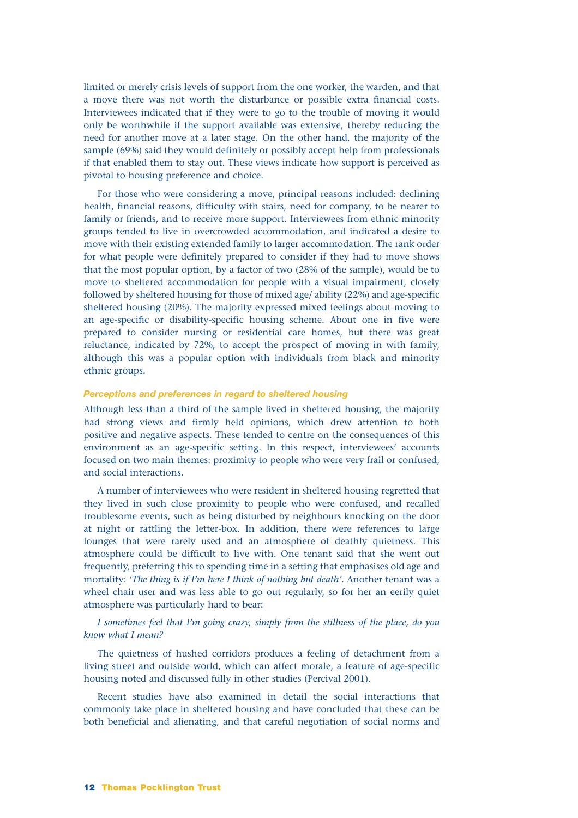limited or merely crisis levels of support from the one worker, the warden, and that a move there was not worth the disturbance or possible extra financial costs. Interviewees indicated that if they were to go to the trouble of moving it would only be worthwhile if the support available was extensive, thereby reducing the need for another move at a later stage. On the other hand, the majority of the sample (69%) said they would definitely or possibly accept help from professionals if that enabled them to stay out. These views indicate how support is perceived as pivotal to housing preference and choice.

For those who were considering a move, principal reasons included: declining health, financial reasons, difficulty with stairs, need for company, to be nearer to family or friends, and to receive more support. Interviewees from ethnic minority groups tended to live in overcrowded accommodation, and indicated a desire to move with their existing extended family to larger accommodation. The rank order for what people were definitely prepared to consider if they had to move shows that the most popular option, by a factor of two (28% of the sample), would be to move to sheltered accommodation for people with a visual impairment, closely followed by sheltered housing for those of mixed age/ ability (22%) and age-specific sheltered housing (20%). The majority expressed mixed feelings about moving to an age-specific or disability-specific housing scheme. About one in five were prepared to consider nursing or residential care homes, but there was great reluctance, indicated by 72%, to accept the prospect of moving in with family, although this was a popular option with individuals from black and minority ethnic groups.

### *Perceptions and preferences in regard to sheltered housing*

Although less than a third of the sample lived in sheltered housing, the majority had strong views and firmly held opinions, which drew attention to both positive and negative aspects. These tended to centre on the consequences of this environment as an age-specific setting. In this respect, interviewees' accounts focused on two main themes: proximity to people who were very frail or confused, and social interactions.

A number of interviewees who were resident in sheltered housing regretted that they lived in such close proximity to people who were confused, and recalled troublesome events, such as being disturbed by neighbours knocking on the door at night or rattling the letter-box. In addition, there were references to large lounges that were rarely used and an atmosphere of deathly quietness. This atmosphere could be difficult to live with. One tenant said that she went out frequently, preferring this to spending time in a setting that emphasises old age and mortality: *'The thing is if I'm here I think of nothing but death'*. Another tenant was a wheel chair user and was less able to go out regularly, so for her an eerily quiet atmosphere was particularly hard to bear:

# *I sometimes feel that I'm going crazy, simply from the stillness of the place, do you know what I mean?*

The quietness of hushed corridors produces a feeling of detachment from a living street and outside world, which can affect morale, a feature of age-specific housing noted and discussed fully in other studies (Percival 2001).

Recent studies have also examined in detail the social interactions that commonly take place in sheltered housing and have concluded that these can be both beneficial and alienating, and that careful negotiation of social norms and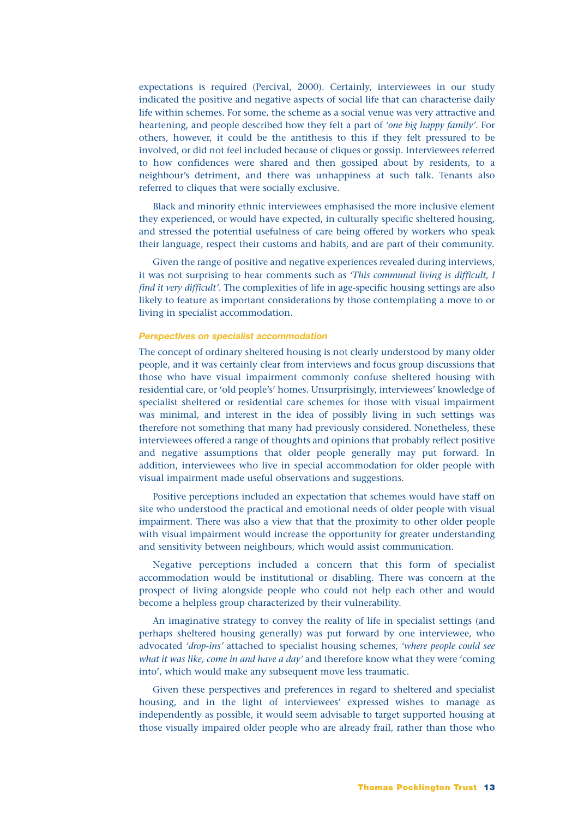expectations is required (Percival, 2000). Certainly, interviewees in our study indicated the positive and negative aspects of social life that can characterise daily life within schemes. For some, the scheme as a social venue was very attractive and heartening, and people described how they felt a part of *'one big happy family'*. For others, however, it could be the antithesis to this if they felt pressured to be involved, or did not feel included because of cliques or gossip. Interviewees referred to how confidences were shared and then gossiped about by residents, to a neighbour's detriment, and there was unhappiness at such talk. Tenants also referred to cliques that were socially exclusive.

Black and minority ethnic interviewees emphasised the more inclusive element they experienced, or would have expected, in culturally specific sheltered housing, and stressed the potential usefulness of care being offered by workers who speak their language, respect their customs and habits, and are part of their community.

Given the range of positive and negative experiences revealed during interviews, it was not surprising to hear comments such as *'This communal living is difficult, I find it very difficult'*. The complexities of life in age-specific housing settings are also likely to feature as important considerations by those contemplating a move to or living in specialist accommodation.

# *Perspectives on specialist accommodation*

The concept of ordinary sheltered housing is not clearly understood by many older people, and it was certainly clear from interviews and focus group discussions that those who have visual impairment commonly confuse sheltered housing with residential care, or 'old people's' homes. Unsurprisingly, interviewees' knowledge of specialist sheltered or residential care schemes for those with visual impairment was minimal, and interest in the idea of possibly living in such settings was therefore not something that many had previously considered. Nonetheless, these interviewees offered a range of thoughts and opinions that probably reflect positive and negative assumptions that older people generally may put forward. In addition, interviewees who live in special accommodation for older people with visual impairment made useful observations and suggestions.

Positive perceptions included an expectation that schemes would have staff on site who understood the practical and emotional needs of older people with visual impairment. There was also a view that that the proximity to other older people with visual impairment would increase the opportunity for greater understanding and sensitivity between neighbours, which would assist communication.

Negative perceptions included a concern that this form of specialist accommodation would be institutional or disabling. There was concern at the prospect of living alongside people who could not help each other and would become a helpless group characterized by their vulnerability.

An imaginative strategy to convey the reality of life in specialist settings (and perhaps sheltered housing generally) was put forward by one interviewee, who advocated *'drop-ins'* attached to specialist housing schemes, *'where people could see what it was like, come in and have a day'* and therefore know what they were 'coming into', which would make any subsequent move less traumatic.

Given these perspectives and preferences in regard to sheltered and specialist housing, and in the light of interviewees' expressed wishes to manage as independently as possible, it would seem advisable to target supported housing at those visually impaired older people who are already frail, rather than those who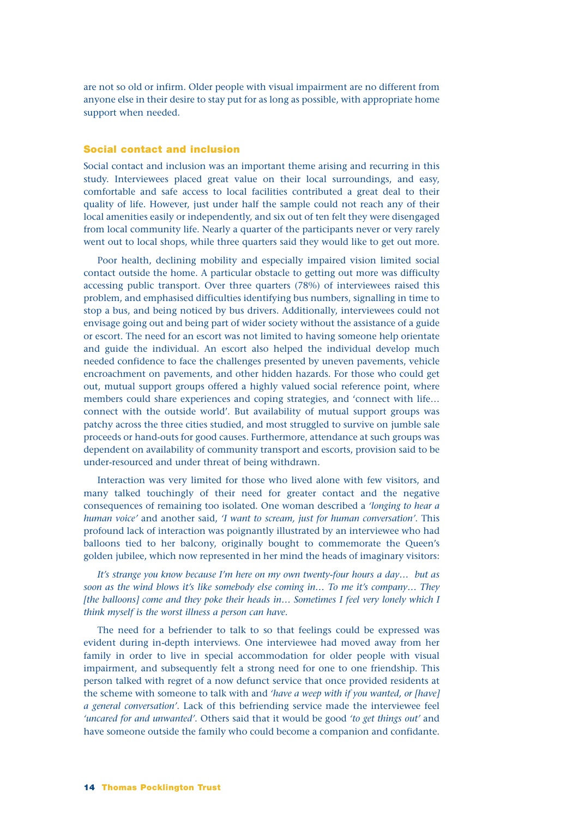are not so old or infirm. Older people with visual impairment are no different from anyone else in their desire to stay put for as long as possible, with appropriate home support when needed.

# **Social contact and inclusion**

Social contact and inclusion was an important theme arising and recurring in this study. Interviewees placed great value on their local surroundings, and easy, comfortable and safe access to local facilities contributed a great deal to their quality of life. However, just under half the sample could not reach any of their local amenities easily or independently, and six out of ten felt they were disengaged from local community life. Nearly a quarter of the participants never or very rarely went out to local shops, while three quarters said they would like to get out more.

Poor health, declining mobility and especially impaired vision limited social contact outside the home. A particular obstacle to getting out more was difficulty accessing public transport. Over three quarters (78%) of interviewees raised this problem, and emphasised difficulties identifying bus numbers, signalling in time to stop a bus, and being noticed by bus drivers. Additionally, interviewees could not envisage going out and being part of wider society without the assistance of a guide or escort. The need for an escort was not limited to having someone help orientate and guide the individual. An escort also helped the individual develop much needed confidence to face the challenges presented by uneven pavements, vehicle encroachment on pavements, and other hidden hazards. For those who could get out, mutual support groups offered a highly valued social reference point, where members could share experiences and coping strategies, and 'connect with life… connect with the outside world'. But availability of mutual support groups was patchy across the three cities studied, and most struggled to survive on jumble sale proceeds or hand-outs for good causes. Furthermore, attendance at such groups was dependent on availability of community transport and escorts, provision said to be under-resourced and under threat of being withdrawn.

Interaction was very limited for those who lived alone with few visitors, and many talked touchingly of their need for greater contact and the negative consequences of remaining too isolated. One woman described a *'longing to hear a human voice'* and another said, *'I want to scream, just for human conversation'*. This profound lack of interaction was poignantly illustrated by an interviewee who had balloons tied to her balcony, originally bought to commemorate the Queen's golden jubilee, which now represented in her mind the heads of imaginary visitors:

*It's strange you know because I'm here on my own twenty-four hours a day… but as soon as the wind blows it's like somebody else coming in… To me it's company… They [the balloons] come and they poke their heads in… Sometimes I feel very lonely which I think myself is the worst illness a person can have.*

The need for a befriender to talk to so that feelings could be expressed was evident during in-depth interviews. One interviewee had moved away from her family in order to live in special accommodation for older people with visual impairment, and subsequently felt a strong need for one to one friendship. This person talked with regret of a now defunct service that once provided residents at the scheme with someone to talk with and *'have a weep with if you wanted, or [have] a general conversation'*. Lack of this befriending service made the interviewee feel *'uncared for and unwanted'*. Others said that it would be good *'to get things out'* and have someone outside the family who could become a companion and confidante.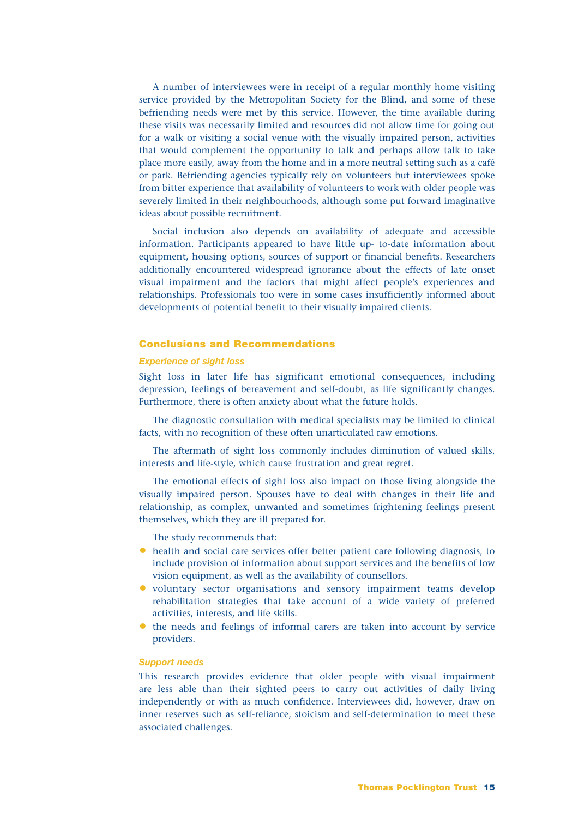A number of interviewees were in receipt of a regular monthly home visiting service provided by the Metropolitan Society for the Blind, and some of these befriending needs were met by this service. However, the time available during these visits was necessarily limited and resources did not allow time for going out for a walk or visiting a social venue with the visually impaired person, activities that would complement the opportunity to talk and perhaps allow talk to take place more easily, away from the home and in a more neutral setting such as a café or park. Befriending agencies typically rely on volunteers but interviewees spoke from bitter experience that availability of volunteers to work with older people was severely limited in their neighbourhoods, although some put forward imaginative ideas about possible recruitment.

Social inclusion also depends on availability of adequate and accessible information. Participants appeared to have little up- to-date information about equipment, housing options, sources of support or financial benefits. Researchers additionally encountered widespread ignorance about the effects of late onset visual impairment and the factors that might affect people's experiences and relationships. Professionals too were in some cases insufficiently informed about developments of potential benefit to their visually impaired clients.

# **Conclusions and Recommendations**

# *Experience of sight loss*

Sight loss in later life has significant emotional consequences, including depression, feelings of bereavement and self-doubt, as life significantly changes. Furthermore, there is often anxiety about what the future holds.

The diagnostic consultation with medical specialists may be limited to clinical facts, with no recognition of these often unarticulated raw emotions.

The aftermath of sight loss commonly includes diminution of valued skills, interests and life-style, which cause frustration and great regret.

The emotional effects of sight loss also impact on those living alongside the visually impaired person. Spouses have to deal with changes in their life and relationship, as complex, unwanted and sometimes frightening feelings present themselves, which they are ill prepared for.

The study recommends that:

- health and social care services offer better patient care following diagnosis, to include provision of information about support services and the benefits of low vision equipment, as well as the availability of counsellors.
- voluntary sector organisations and sensory impairment teams develop rehabilitation strategies that take account of a wide variety of preferred activities, interests, and life skills.
- the needs and feelings of informal carers are taken into account by service providers.

#### *Support needs*

This research provides evidence that older people with visual impairment are less able than their sighted peers to carry out activities of daily living independently or with as much confidence. Interviewees did, however, draw on inner reserves such as self-reliance, stoicism and self-determination to meet these associated challenges.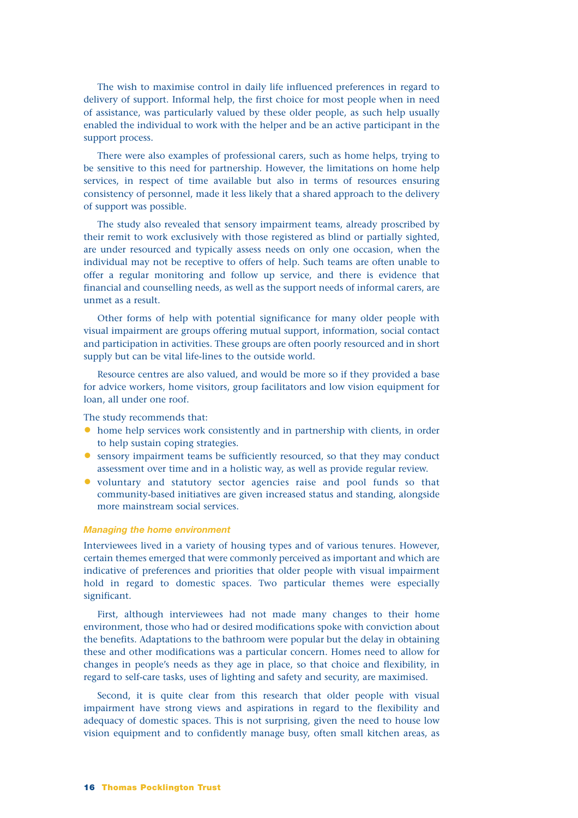The wish to maximise control in daily life influenced preferences in regard to delivery of support. Informal help, the first choice for most people when in need of assistance, was particularly valued by these older people, as such help usually enabled the individual to work with the helper and be an active participant in the support process.

There were also examples of professional carers, such as home helps, trying to be sensitive to this need for partnership. However, the limitations on home help services, in respect of time available but also in terms of resources ensuring consistency of personnel, made it less likely that a shared approach to the delivery of support was possible.

The study also revealed that sensory impairment teams, already proscribed by their remit to work exclusively with those registered as blind or partially sighted, are under resourced and typically assess needs on only one occasion, when the individual may not be receptive to offers of help. Such teams are often unable to offer a regular monitoring and follow up service, and there is evidence that financial and counselling needs, as well as the support needs of informal carers, are unmet as a result.

Other forms of help with potential significance for many older people with visual impairment are groups offering mutual support, information, social contact and participation in activities. These groups are often poorly resourced and in short supply but can be vital life-lines to the outside world.

Resource centres are also valued, and would be more so if they provided a base for advice workers, home visitors, group facilitators and low vision equipment for loan, all under one roof.

The study recommends that:

- home help services work consistently and in partnership with clients, in order to help sustain coping strategies.
- sensory impairment teams be sufficiently resourced, so that they may conduct assessment over time and in a holistic way, as well as provide regular review.
- voluntary and statutory sector agencies raise and pool funds so that community-based initiatives are given increased status and standing, alongside more mainstream social services.

# *Managing the home environment*

Interviewees lived in a variety of housing types and of various tenures. However, certain themes emerged that were commonly perceived as important and which are indicative of preferences and priorities that older people with visual impairment hold in regard to domestic spaces. Two particular themes were especially significant.

First, although interviewees had not made many changes to their home environment, those who had or desired modifications spoke with conviction about the benefits. Adaptations to the bathroom were popular but the delay in obtaining these and other modifications was a particular concern. Homes need to allow for changes in people's needs as they age in place, so that choice and flexibility, in regard to self-care tasks, uses of lighting and safety and security, are maximised.

Second, it is quite clear from this research that older people with visual impairment have strong views and aspirations in regard to the flexibility and adequacy of domestic spaces. This is not surprising, given the need to house low vision equipment and to confidently manage busy, often small kitchen areas, as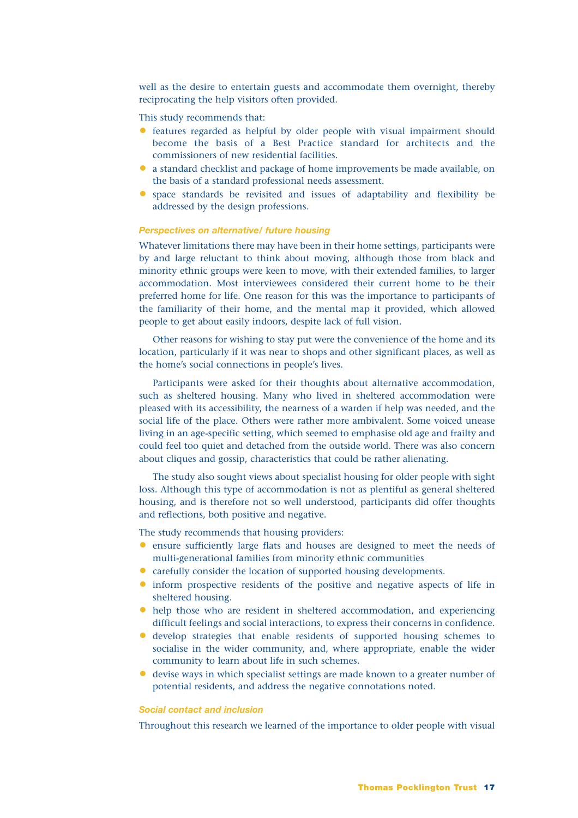well as the desire to entertain guests and accommodate them overnight, thereby reciprocating the help visitors often provided.

This study recommends that:

- features regarded as helpful by older people with visual impairment should become the basis of a Best Practice standard for architects and the commissioners of new residential facilities.
- a standard checklist and package of home improvements be made available, on the basis of a standard professional needs assessment.
- space standards be revisited and issues of adaptability and flexibility be addressed by the design professions.

# *Perspectives on alternative/ future housing*

Whatever limitations there may have been in their home settings, participants were by and large reluctant to think about moving, although those from black and minority ethnic groups were keen to move, with their extended families, to larger accommodation. Most interviewees considered their current home to be their preferred home for life. One reason for this was the importance to participants of the familiarity of their home, and the mental map it provided, which allowed people to get about easily indoors, despite lack of full vision.

Other reasons for wishing to stay put were the convenience of the home and its location, particularly if it was near to shops and other significant places, as well as the home's social connections in people's lives.

Participants were asked for their thoughts about alternative accommodation, such as sheltered housing. Many who lived in sheltered accommodation were pleased with its accessibility, the nearness of a warden if help was needed, and the social life of the place. Others were rather more ambivalent. Some voiced unease living in an age-specific setting, which seemed to emphasise old age and frailty and could feel too quiet and detached from the outside world. There was also concern about cliques and gossip, characteristics that could be rather alienating.

The study also sought views about specialist housing for older people with sight loss. Although this type of accommodation is not as plentiful as general sheltered housing, and is therefore not so well understood, participants did offer thoughts and reflections, both positive and negative.

The study recommends that housing providers:

- ensure sufficiently large flats and houses are designed to meet the needs of multi-generational families from minority ethnic communities
- carefully consider the location of supported housing developments.
- inform prospective residents of the positive and negative aspects of life in sheltered housing.
- help those who are resident in sheltered accommodation, and experiencing difficult feelings and social interactions, to express their concerns in confidence.
- develop strategies that enable residents of supported housing schemes to socialise in the wider community, and, where appropriate, enable the wider community to learn about life in such schemes.
- devise ways in which specialist settings are made known to a greater number of potential residents, and address the negative connotations noted.

# *Social contact and inclusion*

Throughout this research we learned of the importance to older people with visual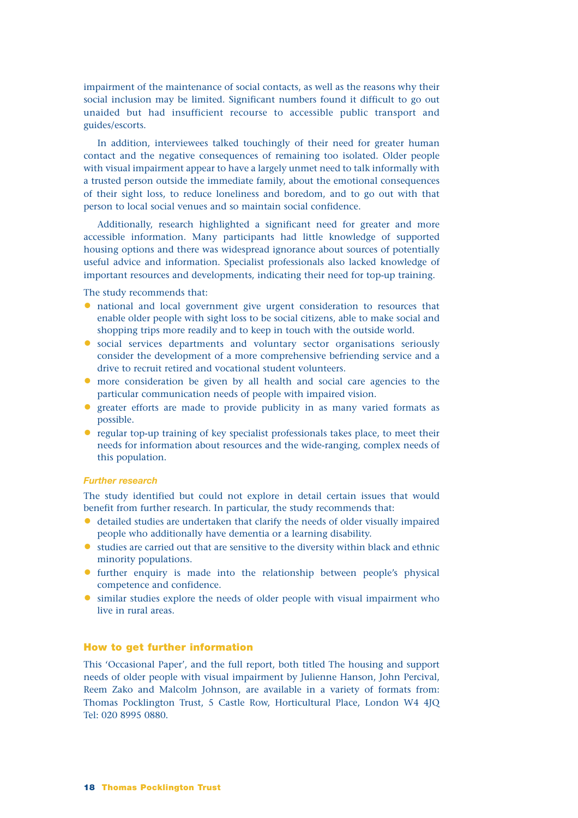impairment of the maintenance of social contacts, as well as the reasons why their social inclusion may be limited. Significant numbers found it difficult to go out unaided but had insufficient recourse to accessible public transport and guides/escorts.

In addition, interviewees talked touchingly of their need for greater human contact and the negative consequences of remaining too isolated. Older people with visual impairment appear to have a largely unmet need to talk informally with a trusted person outside the immediate family, about the emotional consequences of their sight loss, to reduce loneliness and boredom, and to go out with that person to local social venues and so maintain social confidence.

Additionally, research highlighted a significant need for greater and more accessible information. Many participants had little knowledge of supported housing options and there was widespread ignorance about sources of potentially useful advice and information. Specialist professionals also lacked knowledge of important resources and developments, indicating their need for top-up training.

The study recommends that:

- national and local government give urgent consideration to resources that enable older people with sight loss to be social citizens, able to make social and shopping trips more readily and to keep in touch with the outside world.
- social services departments and voluntary sector organisations seriously consider the development of a more comprehensive befriending service and a drive to recruit retired and vocational student volunteers.
- more consideration be given by all health and social care agencies to the particular communication needs of people with impaired vision.
- greater efforts are made to provide publicity in as many varied formats as possible.
- regular top-up training of key specialist professionals takes place, to meet their needs for information about resources and the wide-ranging, complex needs of this population.

### *Further research*

The study identified but could not explore in detail certain issues that would benefit from further research. In particular, the study recommends that:

- detailed studies are undertaken that clarify the needs of older visually impaired people who additionally have dementia or a learning disability.
- studies are carried out that are sensitive to the diversity within black and ethnic minority populations.
- further enquiry is made into the relationship between people's physical competence and confidence.
- similar studies explore the needs of older people with visual impairment who live in rural areas.

# **How to get further information**

This 'Occasional Paper', and the full report, both titled The housing and support needs of older people with visual impairment by Julienne Hanson, John Percival, Reem Zako and Malcolm Johnson, are available in a variety of formats from: Thomas Pocklington Trust, 5 Castle Row, Horticultural Place, London W4 4JQ Tel: 020 8995 0880.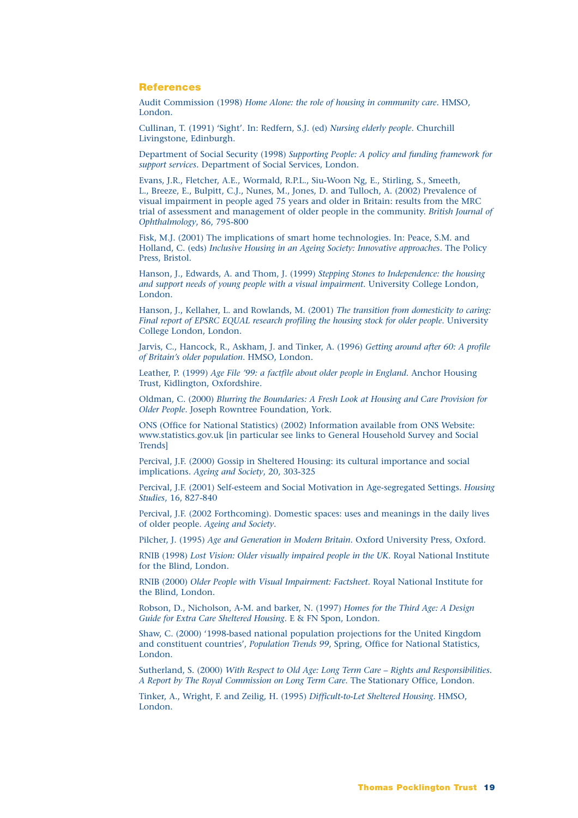#### **References**

Audit Commission (1998) *Home Alone: the role of housing in community care*. HMSO, London.

Cullinan, T. (1991) 'Sight'. In: Redfern, S.J. (ed) *Nursing elderly people*. Churchill Livingstone, Edinburgh.

Department of Social Security (1998) *Supporting People: A policy and funding framework for support services*. Department of Social Services, London.

Evans, J.R., Fletcher, A.E., Wormald, R.P.L., Siu-Woon Ng, E., Stirling, S., Smeeth, L., Breeze, E., Bulpitt, C.J., Nunes, M., Jones, D. and Tulloch, A. (2002) Prevalence of visual impairment in people aged 75 years and older in Britain: results from the MRC trial of assessment and management of older people in the community. *British Journal of Ophthalmology*, 86, 795-800

Fisk, M.J. (2001) The implications of smart home technologies. In: Peace, S.M. and Holland, C. (eds) *Inclusive Housing in an Ageing Society: Innovative approaches*. The Policy Press, Bristol.

Hanson, J., Edwards, A. and Thom, J. (1999) *Stepping Stones to Independence: the housing and support needs of young people with a visual impairment*. University College London, London.

Hanson, J., Kellaher, L. and Rowlands, M. (2001) *The transition from domesticity to caring: Final report of EPSRC EQUAL research profiling the housing stock for older people*. University College London, London.

Jarvis, C., Hancock, R., Askham, J. and Tinker, A. (1996) *Getting around after 60: A profile of Britain's older population*. HMSO, London.

Leather, P. (1999) *Age File '99: a factfile about older people in England*. Anchor Housing Trust, Kidlington, Oxfordshire.

Oldman, C. (2000) *Blurring the Boundaries: A Fresh Look at Housing and Care Provision for Older People*. Joseph Rowntree Foundation, York.

ONS (Office for National Statistics) (2002) Information available from ONS Website: www.statistics.gov.uk [in particular see links to General Household Survey and Social **Trends** 

Percival, J.F. (2000) Gossip in Sheltered Housing: its cultural importance and social implications. *Ageing and Society*, 20, 303-325

Percival, J.F. (2001) Self-esteem and Social Motivation in Age-segregated Settings. *Housing Studies*, 16, 827-840

Percival, J.F. (2002 Forthcoming). Domestic spaces: uses and meanings in the daily lives of older people. *Ageing and Society*.

Pilcher, J. (1995) *Age and Generation in Modern Britain*. Oxford University Press, Oxford.

RNIB (1998) *Lost Vision: Older visually impaired people in the UK*. Royal National Institute for the Blind, London.

RNIB (2000) *Older People with Visual Impairment: Factsheet*. Royal National Institute for the Blind, London.

Robson, D., Nicholson, A-M. and barker, N. (1997) *Homes for the Third Age: A Design Guide for Extra Care Sheltered Housing*. E & FN Spon, London.

Shaw, C. (2000) '1998-based national population projections for the United Kingdom and constituent countries', *Population Trends 99*, Spring, Office for National Statistics, London.

Sutherland, S. (2000) *With Respect to Old Age: Long Term Care – Rights and Responsibilities. A Report by The Royal Commission on Long Term Care*. The Stationary Office, London.

Tinker, A., Wright, F. and Zeilig, H. (1995) *Difficult-to-Let Sheltered Housing*. HMSO, London.